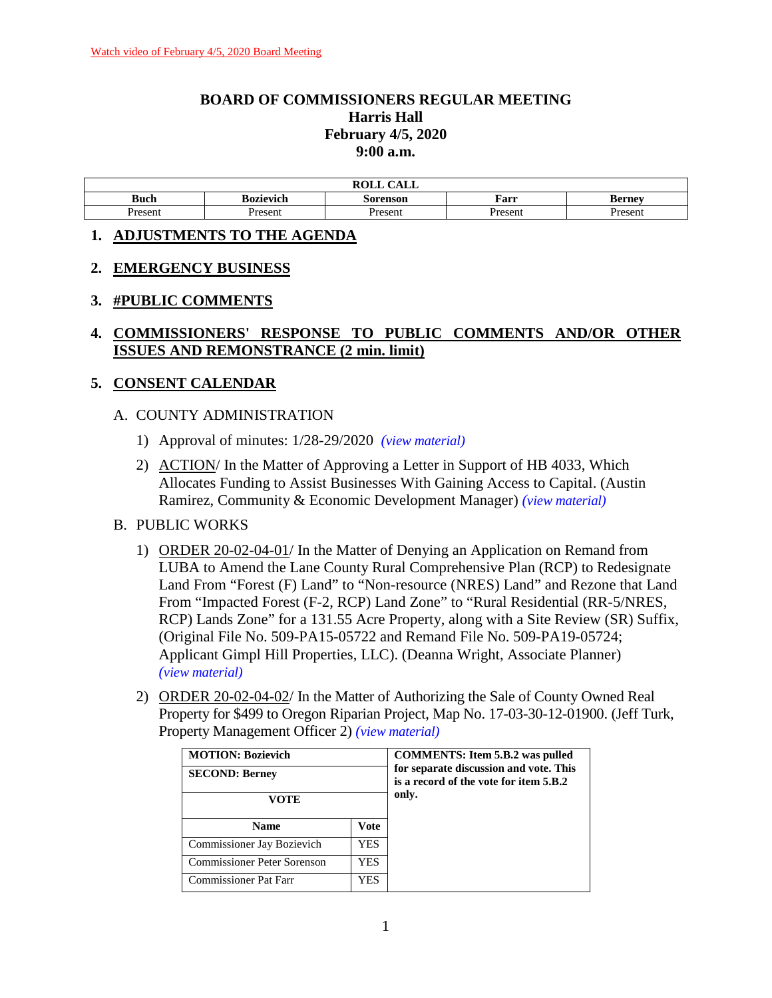## **BOARD OF COMMISSIONERS REGULAR MEETING Harris Hall February 4/5, 2020 9:00 a.m.**

| . <del>.</del> .<br>ROLI<br><b>UALL</b> |           |          |         |        |
|-----------------------------------------|-----------|----------|---------|--------|
| <b>Buch</b>                             | Bozievich | Sorenson | Farr    | Berney |
| Present                                 | Present   | Present  | Present | resent |

#### **1. ADJUSTMENTS TO THE AGENDA**

#### **2. EMERGENCY BUSINESS**

#### **3. #PUBLIC COMMENTS**

#### **4. COMMISSIONERS' RESPONSE TO PUBLIC COMMENTS AND/OR OTHER ISSUES AND REMONSTRANCE (2 min. limit)**

#### **5. CONSENT CALENDAR**

#### A. COUNTY ADMINISTRATION

- 1) Approval of minutes: 1/28-29/2020 *(view [material\)](http://www.lanecountyor.gov/UserFiles/Servers/Server_3585797/File/Government/BCC/2020/2020_AGENDAS/020420agenda/T.5.A.1.pdf)*
- 2) ACTION/ In the Matter of Approving a Letter in Support of HB 4033, Which Allocates Funding to Assist Businesses With Gaining Access to Capital. (Austin Ramirez, Community & Economic Development Manager) *(view [material\)](http://www.lanecountyor.gov/UserFiles/Servers/Server_3585797/File/Government/BCC/2020/2020_AGENDAS/020420agenda/T.5.A.2.pdf)*

#### B. PUBLIC WORKS

- 1) ORDER 20-02-04-01/ In the Matter of Denying an Application on Remand from LUBA to Amend the Lane County Rural Comprehensive Plan (RCP) to Redesignate Land From "Forest (F) Land" to "Non-resource (NRES) Land" and Rezone that Land From "Impacted Forest (F-2, RCP) Land Zone" to "Rural Residential (RR-5/NRES, RCP) Lands Zone" for a 131.55 Acre Property, along with a Site Review (SR) Suffix, (Original File No. 509-PA15-05722 and Remand File No. 509-PA19-05724; Applicant Gimpl Hill Properties, LLC). (Deanna Wright, Associate Planner) *(view [material\)](http://www.lanecountyor.gov/UserFiles/Servers/Server_3585797/File/Government/BCC/2020/2020_AGENDAS/020420agenda/T.5.B.1.pdf)*
- 2) ORDER 20-02-04-02/ In the Matter of Authorizing the Sale of County Owned Real Property for \$499 to Oregon Riparian Project, Map No. 17-03-30-12-01900. (Jeff Turk, Property Management Officer 2) *(view [material\)](http://www.lanecountyor.gov/UserFiles/Servers/Server_3585797/File/Government/BCC/2020/2020_AGENDAS/020420agenda/T.5.B.2.pdf)*

| <b>MOTION: Bozievich</b><br><b>SECOND: Berney</b><br>VOTE |      | <b>COMMENTS:</b> Item 5.B.2 was pulled<br>for separate discussion and vote. This<br>is a record of the vote for item 5.B.2<br>only. |
|-----------------------------------------------------------|------|-------------------------------------------------------------------------------------------------------------------------------------|
| <b>Name</b>                                               | Vote |                                                                                                                                     |
| Commissioner Jay Bozievich                                | YES. |                                                                                                                                     |
| Commissioner Peter Sorenson                               | YES. |                                                                                                                                     |
| <b>Commissioner Pat Farr</b>                              | YES  |                                                                                                                                     |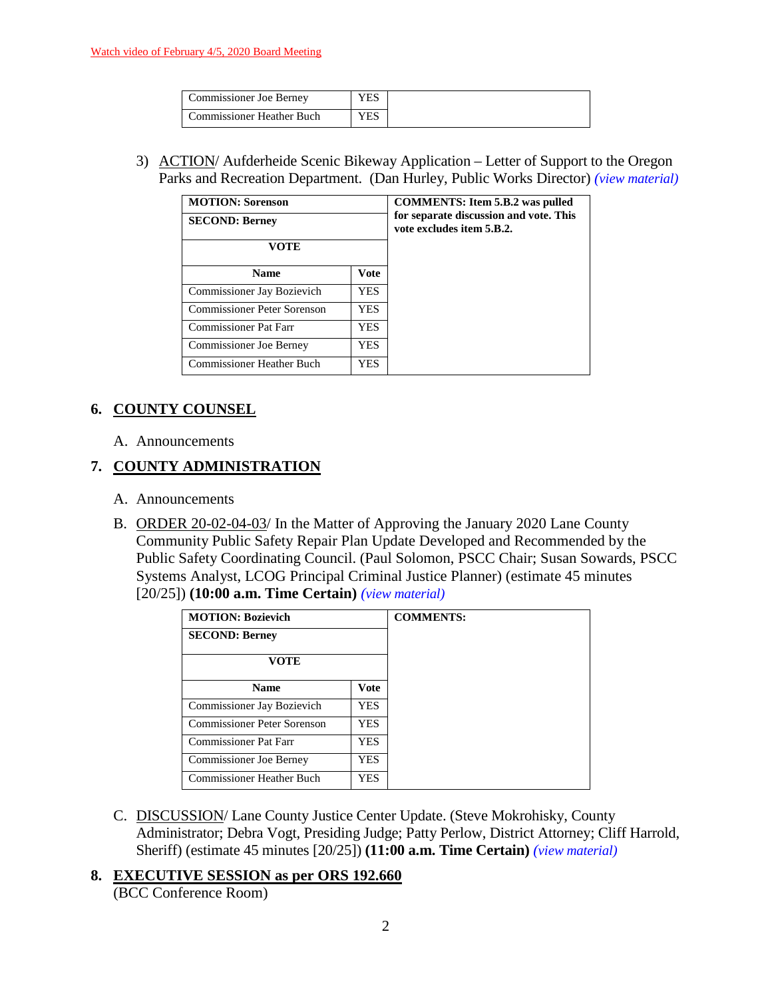| Commissioner Joe Berney          | YES |
|----------------------------------|-----|
| <b>Commissioner Heather Buch</b> | YES |

3) ACTION/ Aufderheide Scenic Bikeway Application – Letter of Support to the Oregon Parks and Recreation Department. (Dan Hurley, Public Works Director) *(view [material\)](http://www.lanecountyor.gov/UserFiles/Servers/Server_3585797/File/Government/BCC/2020/2020_AGENDAS/020420agenda/T.5.B.3.pdf)*

| <b>MOTION: Sorenson</b><br><b>SECOND: Berney</b> |            | <b>COMMENTS:</b> Item 5.B.2 was pulled<br>for separate discussion and vote. This<br>vote excludes item 5.B.2. |
|--------------------------------------------------|------------|---------------------------------------------------------------------------------------------------------------|
| VOTE                                             |            |                                                                                                               |
| <b>Name</b>                                      | Vote       |                                                                                                               |
| Commissioner Jay Bozievich                       | YES.       |                                                                                                               |
| Commissioner Peter Sorenson                      | <b>YES</b> |                                                                                                               |
| <b>Commissioner Pat Farr</b>                     | YES.       |                                                                                                               |
| <b>Commissioner Joe Berney</b>                   | YES.       |                                                                                                               |
| Commissioner Heather Buch                        | YES.       |                                                                                                               |

## **6. COUNTY COUNSEL**

A. Announcements

## **7. COUNTY ADMINISTRATION**

- A. Announcements
- B. ORDER 20-02-04-03/ In the Matter of Approving the January 2020 Lane County Community Public Safety Repair Plan Update Developed and Recommended by the Public Safety Coordinating Council. (Paul Solomon, PSCC Chair; Susan Sowards, PSCC Systems Analyst, LCOG Principal Criminal Justice Planner) (estimate 45 minutes [20/25]) **(10:00 a.m. Time Certain)** *(view [material\)](http://www.lanecountyor.gov/UserFiles/Servers/Server_3585797/File/Government/BCC/2020/2020_AGENDAS/020420agenda/T.7.B.pdf)*

| <b>MOTION: Bozievich</b>         |            | <b>COMMENTS:</b> |
|----------------------------------|------------|------------------|
| <b>SECOND: Berney</b>            |            |                  |
| <b>VOTE</b>                      |            |                  |
| <b>Name</b>                      | Vote       |                  |
| Commissioner Jay Bozievich       | <b>YES</b> |                  |
| Commissioner Peter Sorenson      | <b>YES</b> |                  |
| <b>Commissioner Pat Farr</b>     | <b>YES</b> |                  |
| Commissioner Joe Berney          | YES.       |                  |
| <b>Commissioner Heather Buch</b> | YES.       |                  |

C. DISCUSSION/ Lane County Justice Center Update. (Steve Mokrohisky, County Administrator; Debra Vogt, Presiding Judge; Patty Perlow, District Attorney; Cliff Harrold, Sheriff) (estimate 45 minutes [20/25]) **(11:00 a.m. Time Certain)** *(view [material\)](http://www.lanecountyor.gov/UserFiles/Servers/Server_3585797/File/Government/BCC/2020/2020_AGENDAS/020420agenda/T.7.C.pdf)*

#### **8. EXECUTIVE SESSION as per ORS 192.660**

(BCC Conference Room)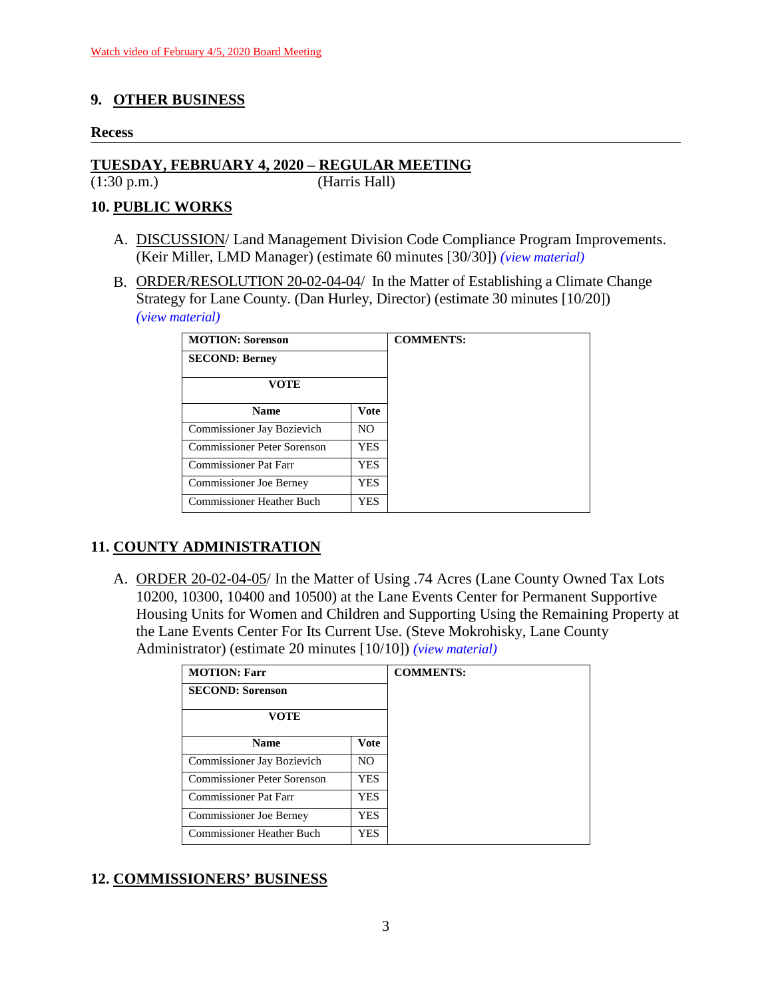## **9. OTHER BUSINESS**

#### **Recess**

# **TUESDAY, FEBRUARY 4, 2020 – REGULAR MEETING**

(1:30 p.m.) (Harris Hall)

## **10. PUBLIC WORKS**

- A. DISCUSSION/ Land Management Division Code Compliance Program Improvements. (Keir Miller, LMD Manager) (estimate 60 minutes [30/30]) *(view [material\)](http://www.lanecountyor.gov/UserFiles/Servers/Server_3585797/File/Government/BCC/2020/2020_AGENDAS/020420agenda/T.10.A.pdf)*
- B. ORDER/RESOLUTION 20-02-04-04/ In the Matter of Establishing a Climate Change Strategy for Lane County. (Dan Hurley, Director) (estimate 30 minutes [10/20]) *(view [material\)](http://www.lanecountyor.gov/UserFiles/Servers/Server_3585797/File/Government/BCC/2020/2020_AGENDAS/020420agenda/T.10.B.pdf)*

| <b>MOTION: Sorenson</b>          |            | <b>COMMENTS:</b> |
|----------------------------------|------------|------------------|
| <b>SECOND: Berney</b>            |            |                  |
| VOTE                             |            |                  |
| <b>Name</b>                      | Vote       |                  |
| Commissioner Jay Bozievich       | NO.        |                  |
| Commissioner Peter Sorenson      | <b>YES</b> |                  |
| <b>Commissioner Pat Farr</b>     | YES.       |                  |
| <b>Commissioner Joe Berney</b>   | <b>YES</b> |                  |
| <b>Commissioner Heather Buch</b> | YES.       |                  |

## **11. COUNTY ADMINISTRATION**

A. ORDER 20-02-04-05/ In the Matter of Using .74 Acres (Lane County Owned Tax Lots 10200, 10300, 10400 and 10500) at the Lane Events Center for Permanent Supportive Housing Units for Women and Children and Supporting Using the Remaining Property at the Lane Events Center For Its Current Use. (Steve Mokrohisky, Lane County Administrator) (estimate 20 minutes [10/10]) *(view [material\)](http://www.lanecountyor.gov/UserFiles/Servers/Server_3585797/File/Government/BCC/2020/2020_AGENDAS/020420agenda/T.11.A.pdf)*

| <b>MOTION: Farr</b>            |                | <b>COMMENTS:</b> |
|--------------------------------|----------------|------------------|
| <b>SECOND: Sorenson</b>        |                |                  |
| <b>VOTE</b>                    |                |                  |
| <b>Name</b>                    | Vote           |                  |
| Commissioner Jay Bozievich     | N <sub>O</sub> |                  |
| Commissioner Peter Sorenson    | <b>YES</b>     |                  |
| Commissioner Pat Farr          | <b>YES</b>     |                  |
| <b>Commissioner Joe Berney</b> | <b>YES</b>     |                  |
| Commissioner Heather Buch      | <b>YES</b>     |                  |

## **12. COMMISSIONERS' BUSINESS**